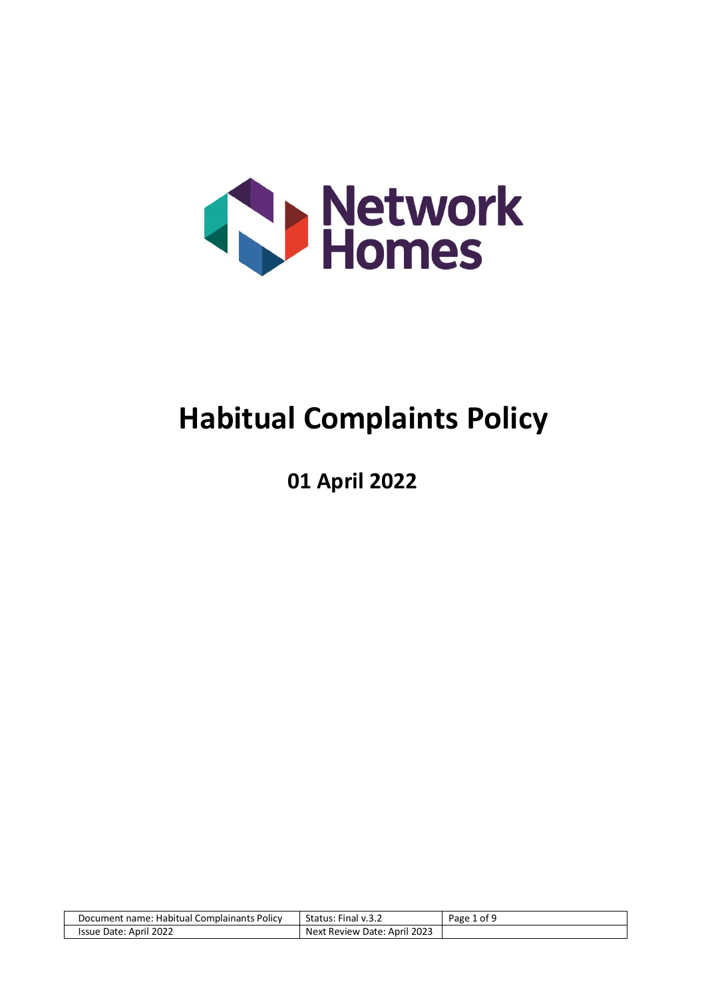

# **Habitual Complaints Policy**

**01 April 2022**

| Document name: Habitual Complainants Policy | Status:<br>Final $v.3.2$     | 1 of 9<br>$P$ age $\overline{A}$ |
|---------------------------------------------|------------------------------|----------------------------------|
| Issue Date: April 2022                      | Next Review Date: April 2023 |                                  |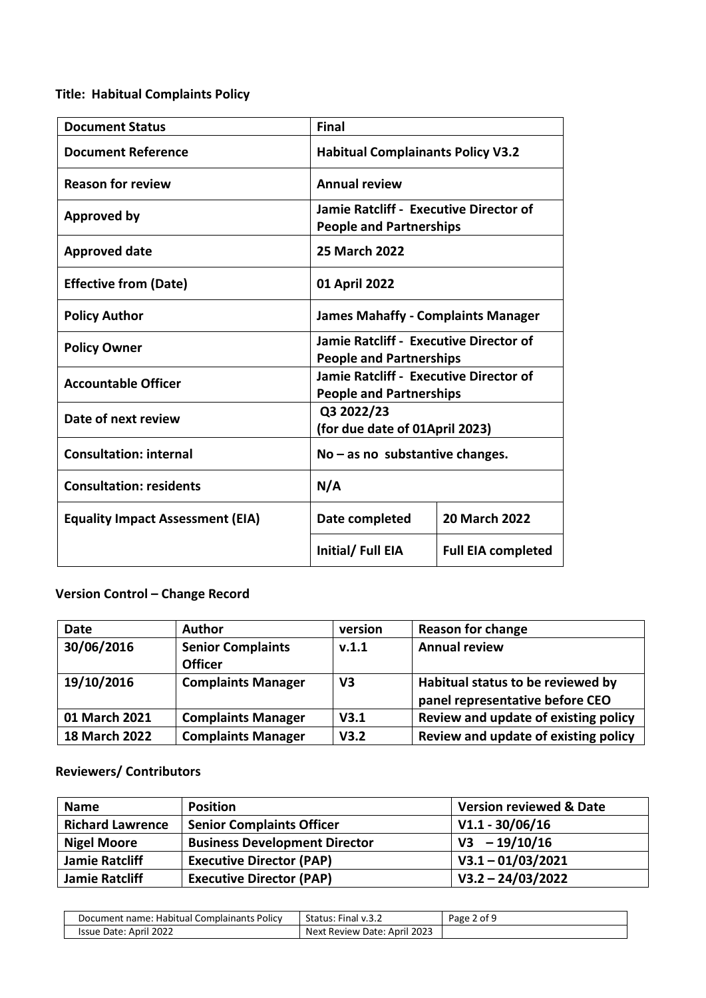# **Title: Habitual Complaints Policy**

| <b>Document Status</b>                  | <b>Final</b>                                                             |                           |
|-----------------------------------------|--------------------------------------------------------------------------|---------------------------|
| <b>Document Reference</b>               | <b>Habitual Complainants Policy V3.2</b>                                 |                           |
| <b>Reason for review</b>                | <b>Annual review</b>                                                     |                           |
| <b>Approved by</b>                      | Jamie Ratcliff - Executive Director of<br><b>People and Partnerships</b> |                           |
| <b>Approved date</b>                    | <b>25 March 2022</b>                                                     |                           |
| <b>Effective from (Date)</b>            | 01 April 2022                                                            |                           |
| <b>Policy Author</b>                    | <b>James Mahaffy - Complaints Manager</b>                                |                           |
| <b>Policy Owner</b>                     | Jamie Ratcliff - Executive Director of<br><b>People and Partnerships</b> |                           |
| <b>Accountable Officer</b>              | Jamie Ratcliff - Executive Director of<br><b>People and Partnerships</b> |                           |
| Date of next review                     | Q3 2022/23<br>(for due date of 01April 2023)                             |                           |
| <b>Consultation: internal</b>           | $No - as no$ substantive changes.                                        |                           |
| <b>Consultation: residents</b>          | N/A                                                                      |                           |
| <b>Equality Impact Assessment (EIA)</b> | Date completed                                                           | <b>20 March 2022</b>      |
|                                         | Initial/Full EIA                                                         | <b>Full EIA completed</b> |

# **Version Control – Change Record**

| <b>Date</b>          | <b>Author</b>                              | version        | <b>Reason for change</b>                                             |
|----------------------|--------------------------------------------|----------------|----------------------------------------------------------------------|
| 30/06/2016           | <b>Senior Complaints</b><br><b>Officer</b> | V.1.1          | <b>Annual review</b>                                                 |
| 19/10/2016           | <b>Complaints Manager</b>                  | V <sub>3</sub> | Habitual status to be reviewed by<br>panel representative before CEO |
| 01 March 2021        | <b>Complaints Manager</b>                  | V3.1           | Review and update of existing policy                                 |
| <b>18 March 2022</b> | <b>Complaints Manager</b>                  | V3.2           | Review and update of existing policy                                 |

# **Reviewers/ Contributors**

| <b>Name</b>             | <b>Position</b>                      | <b>Version reviewed &amp; Date</b> |
|-------------------------|--------------------------------------|------------------------------------|
| <b>Richard Lawrence</b> | <b>Senior Complaints Officer</b>     | $V1.1 - 30/06/16$                  |
| <b>Nigel Moore</b>      | <b>Business Development Director</b> | $V3 - 19/10/16$                    |
| <b>Jamie Ratcliff</b>   | <b>Executive Director (PAP)</b>      | $V3.1 - 01/03/2021$                |
| Jamie Ratcliff          | <b>Executive Director (PAP)</b>      | $V3.2 - 24/03/2022$                |

| : Habitual Complainants Policy<br>Document name: | Status: Final v.3.2             | ∠ of º<br>Page |
|--------------------------------------------------|---------------------------------|----------------|
| April 2022<br>Issue Date:                        | 2023<br>Next Review Date: April |                |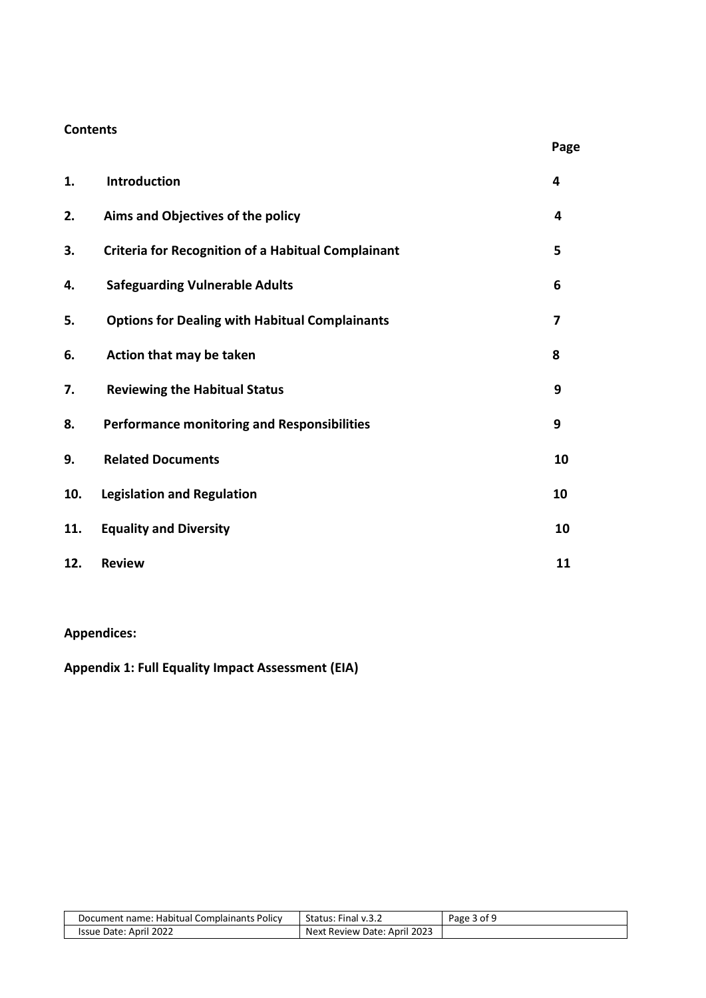### **Contents**

| 1.  | <b>Introduction</b>                                       | 4  |
|-----|-----------------------------------------------------------|----|
| 2.  | Aims and Objectives of the policy                         | 4  |
| 3.  | <b>Criteria for Recognition of a Habitual Complainant</b> | 5  |
| 4.  | <b>Safeguarding Vulnerable Adults</b>                     | 6  |
| 5.  | <b>Options for Dealing with Habitual Complainants</b>     | 7  |
| 6.  | Action that may be taken                                  | 8  |
| 7.  | <b>Reviewing the Habitual Status</b>                      | 9  |
| 8.  | <b>Performance monitoring and Responsibilities</b>        | 9  |
| 9.  | <b>Related Documents</b>                                  | 10 |
| 10. | <b>Legislation and Regulation</b>                         | 10 |
| 11. | <b>Equality and Diversity</b>                             | 10 |
| 12. | <b>Review</b>                                             | 11 |

**Page**

**Appendices:** 

**Appendix 1: Full Equality Impact Assessment (EIA)**

| Document name: Habitual Complainants Policy | Status:<br>$\cdot$ Final v.3. $\sim$ | Page 3 of 9 |
|---------------------------------------------|--------------------------------------|-------------|
| Issue Date: April 2022                      | Next Review Date: April 2023         |             |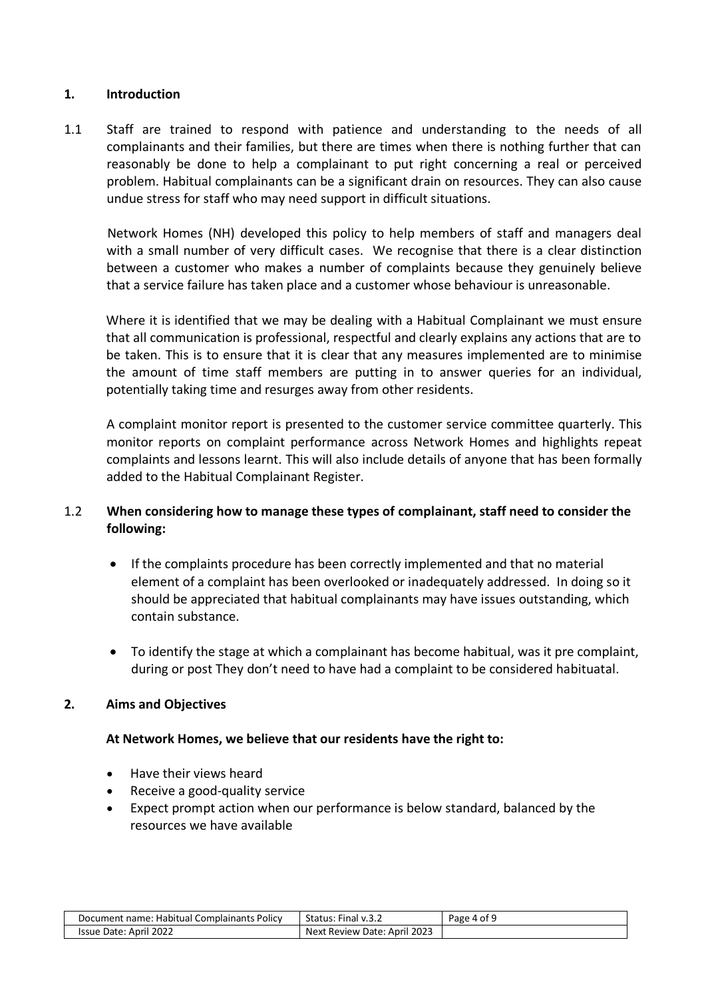#### **1. Introduction**

1.1 Staff are trained to respond with patience and understanding to the needs of all complainants and their families, but there are times when there is nothing further that can reasonably be done to help a complainant to put right concerning a real or perceived problem. Habitual complainants can be a significant drain on resources. They can also cause undue stress for staff who may need support in difficult situations.

 Network Homes (NH) developed this policy to help members of staff and managers deal with a small number of very difficult cases. We recognise that there is a clear distinction between a customer who makes a number of complaints because they genuinely believe that a service failure has taken place and a customer whose behaviour is unreasonable.

Where it is identified that we may be dealing with a Habitual Complainant we must ensure that all communication is professional, respectful and clearly explains any actions that are to be taken. This is to ensure that it is clear that any measures implemented are to minimise the amount of time staff members are putting in to answer queries for an individual, potentially taking time and resurges away from other residents.

A complaint monitor report is presented to the customer service committee quarterly. This monitor reports on complaint performance across Network Homes and highlights repeat complaints and lessons learnt. This will also include details of anyone that has been formally added to the Habitual Complainant Register.

# 1.2 **When considering how to manage these types of complainant, staff need to consider the following:**

- If the complaints procedure has been correctly implemented and that no material element of a complaint has been overlooked or inadequately addressed. In doing so it should be appreciated that habitual complainants may have issues outstanding, which contain substance.
- To identify the stage at which a complainant has become habitual, was it pre complaint, during or post They don't need to have had a complaint to be considered habituatal.

#### **2. Aims and Objectives**

#### **At Network Homes, we believe that our residents have the right to:**

- Have their views heard
- Receive a good-quality service
- Expect prompt action when our performance is below standard, balanced by the resources we have available

| : Habitual Complainants Policy<br>name:<br>Document | $- \cdot$<br>Final v.3.2<br>Status:        | $.4$ of $^{\circ}$<br>Page |
|-----------------------------------------------------|--------------------------------------------|----------------------------|
| Date: April 2022<br>Issue                           | 2023<br>Next<br>Date:<br>April<br>: Review |                            |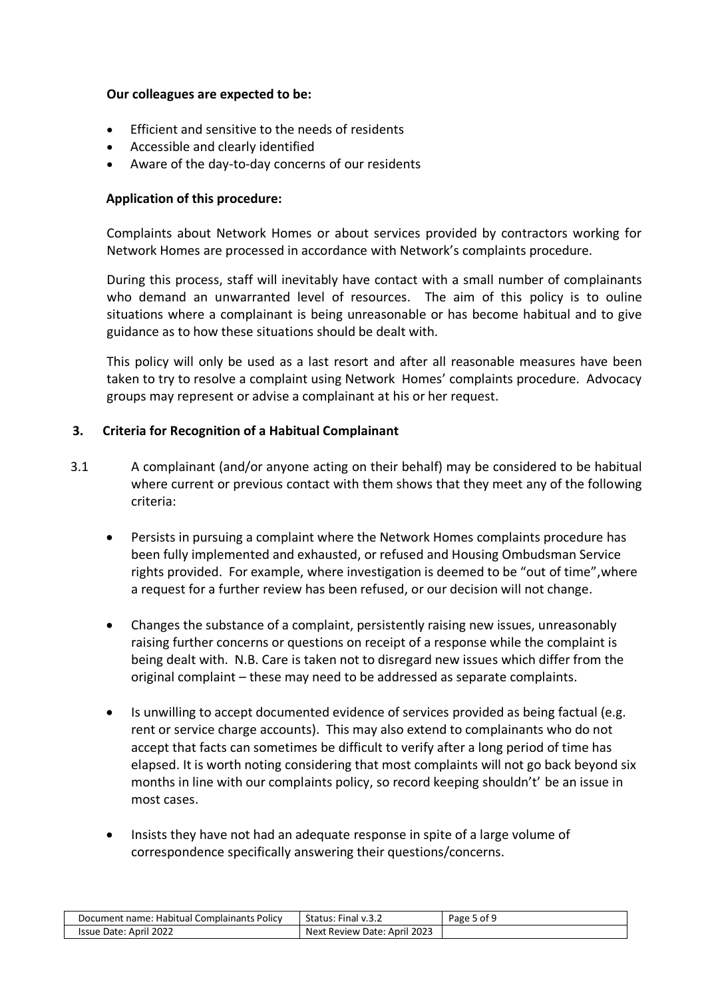#### **Our colleagues are expected to be:**

- Efficient and sensitive to the needs of residents
- Accessible and clearly identified
- Aware of the day-to-day concerns of our residents

# **Application of this procedure:**

Complaints about Network Homes or about services provided by contractors working for Network Homes are processed in accordance with Network's complaints procedure.

During this process, staff will inevitably have contact with a small number of complainants who demand an unwarranted level of resources. The aim of this policy is to ouline situations where a complainant is being unreasonable or has become habitual and to give guidance as to how these situations should be dealt with.

This policy will only be used as a last resort and after all reasonable measures have been taken to try to resolve a complaint using Network Homes' complaints procedure. Advocacy groups may represent or advise a complainant at his or her request.

# **3. Criteria for Recognition of a Habitual Complainant**

- 3.1 A complainant (and/or anyone acting on their behalf) may be considered to be habitual where current or previous contact with them shows that they meet any of the following criteria:
	- Persists in pursuing a complaint where the Network Homes complaints procedure has been fully implemented and exhausted, or refused and Housing Ombudsman Service rights provided. For example, where investigation is deemed to be "out of time",where a request for a further review has been refused, or our decision will not change.
	- Changes the substance of a complaint, persistently raising new issues, unreasonably raising further concerns or questions on receipt of a response while the complaint is being dealt with. N.B. Care is taken not to disregard new issues which differ from the original complaint – these may need to be addressed as separate complaints.
	- Is unwilling to accept documented evidence of services provided as being factual (e.g. rent or service charge accounts). This may also extend to complainants who do not accept that facts can sometimes be difficult to verify after a long period of time has elapsed. It is worth noting considering that most complaints will not go back beyond six months in line with our complaints policy, so record keeping shouldn't' be an issue in most cases.
	- Insists they have not had an adequate response in spite of a large volume of correspondence specifically answering their questions/concerns.

| Document name: Habitual Complainants Policy | Status: Final v.3.2                      | Page 5 of 9 |
|---------------------------------------------|------------------------------------------|-------------|
| Issue Date: April 2022                      | t Review Date: April 2023<br><b>Next</b> |             |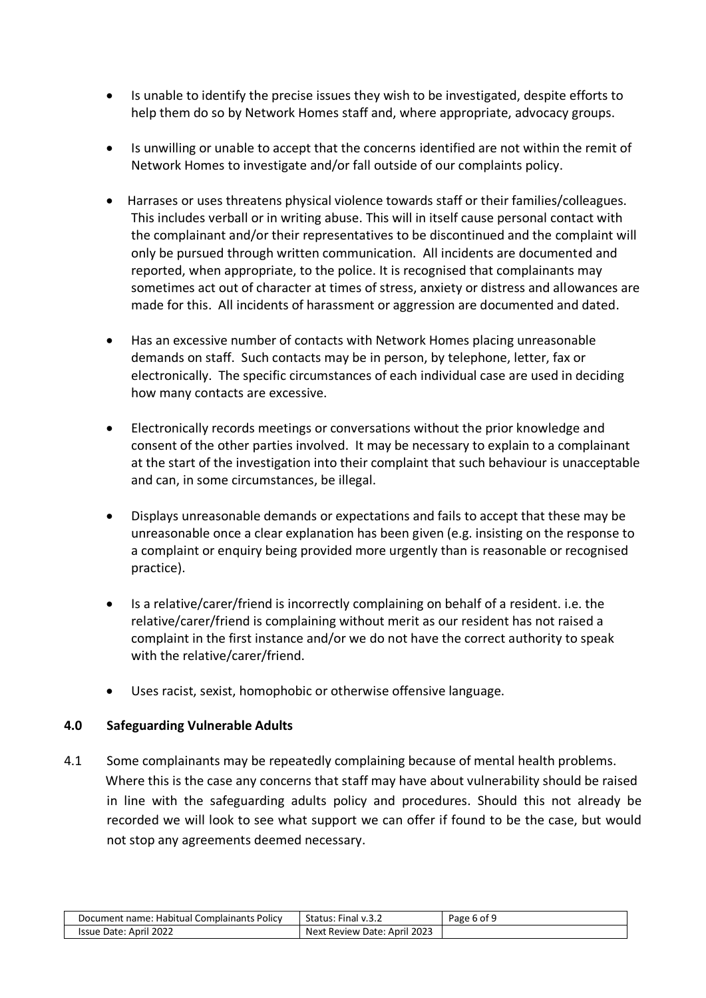- Is unable to identify the precise issues they wish to be investigated, despite efforts to help them do so by Network Homes staff and, where appropriate, advocacy groups.
- Is unwilling or unable to accept that the concerns identified are not within the remit of Network Homes to investigate and/or fall outside of our complaints policy.
- Harrases or uses threatens physical violence towards staff or their families/colleagues. This includes verball or in writing abuse. This will in itself cause personal contact with the complainant and/or their representatives to be discontinued and the complaint will only be pursued through written communication. All incidents are documented and reported, when appropriate, to the police. It is recognised that complainants may sometimes act out of character at times of stress, anxiety or distress and allowances are made for this. All incidents of harassment or aggression are documented and dated.
- Has an excessive number of contacts with Network Homes placing unreasonable demands on staff. Such contacts may be in person, by telephone, letter, fax or electronically. The specific circumstances of each individual case are used in deciding how many contacts are excessive.
- Electronically records meetings or conversations without the prior knowledge and consent of the other parties involved. It may be necessary to explain to a complainant at the start of the investigation into their complaint that such behaviour is unacceptable and can, in some circumstances, be illegal.
- Displays unreasonable demands or expectations and fails to accept that these may be unreasonable once a clear explanation has been given (e.g. insisting on the response to a complaint or enquiry being provided more urgently than is reasonable or recognised practice).
- Is a relative/carer/friend is incorrectly complaining on behalf of a resident. i.e. the relative/carer/friend is complaining without merit as our resident has not raised a complaint in the first instance and/or we do not have the correct authority to speak with the relative/carer/friend.
- Uses racist, sexist, homophobic or otherwise offensive language.

# **4.0 Safeguarding Vulnerable Adults**

4.1 Some complainants may be repeatedly complaining because of mental health problems. Where this is the case any concerns that staff may have about vulnerability should be raised in line with the safeguarding adults policy and procedures. Should this not already be recorded we will look to see what support we can offer if found to be the case, but would not stop any agreements deemed necessary.

| Document name: Habitual Complainants Policy | Status: Final v.3.2               | Page 6 of 9 |
|---------------------------------------------|-----------------------------------|-------------|
| Issue Date: April 2022                      | t Review Date: April 2023<br>Next |             |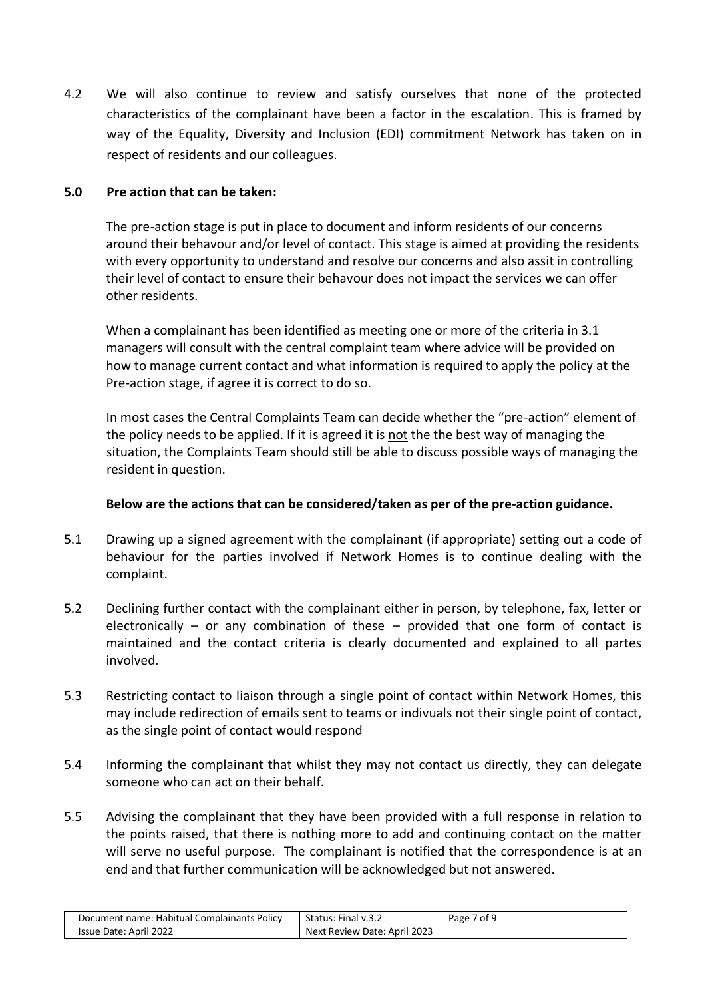4.2 We will also continue to review and satisfy ourselves that none of the protected characteristics of the complainant have been a factor in the escalation. This is framed by way of the Equality, Diversity and Inclusion (EDI) commitment Network has taken on in respect of residents and our colleagues.

### **5.0 Pre action that can be taken:**

The pre-action stage is put in place to document and inform residents of our concerns around their behavour and/or level of contact. This stage is aimed at providing the residents with every opportunity to understand and resolve our concerns and also assit in controlling their level of contact to ensure their behavour does not impact the services we can offer other residents.

When a complainant has been identified as meeting one or more of the criteria in 3.1 managers will consult with the central complaint team where advice will be provided on how to manage current contact and what information is required to apply the policy at the Pre-action stage, if agree it is correct to do so.

In most cases the Central Complaints Team can decide whether the "pre-action" element of the policy needs to be applied. If it is agreed it is not the the best way of managing the situation, the Complaints Team should still be able to discuss possible ways of managing the resident in question.

## **Below are the actions that can be considered/taken as per of the pre-action guidance.**

- 5.1 Drawing up a signed agreement with the complainant (if appropriate) setting out a code of behaviour for the parties involved if Network Homes is to continue dealing with the complaint.
- 5.2 Declining further contact with the complainant either in person, by telephone, fax, letter or electronically – or any combination of these – provided that one form of contact is maintained and the contact criteria is clearly documented and explained to all partes involved.
- 5.3 Restricting contact to liaison through a single point of contact within Network Homes, this may include redirection of emails sent to teams or indivuals not their single point of contact, as the single point of contact would respond
- 5.4 Informing the complainant that whilst they may not contact us directly, they can delegate someone who can act on their behalf.
- 5.5 Advising the complainant that they have been provided with a full response in relation to the points raised, that there is nothing more to add and continuing contact on the matter will serve no useful purpose. The complainant is notified that the correspondence is at an end and that further communication will be acknowledged but not answered.

| : Habitual Complainants Policy<br>: name<br>Document | Status:<br>Final<br>'V.3.2            | ∕ of <sup>c</sup><br>Page |
|------------------------------------------------------|---------------------------------------|---------------------------|
| il 2022 <sup>.</sup><br>Issue<br>April<br>Date:      | 2023<br>Next Review<br>April<br>Date: |                           |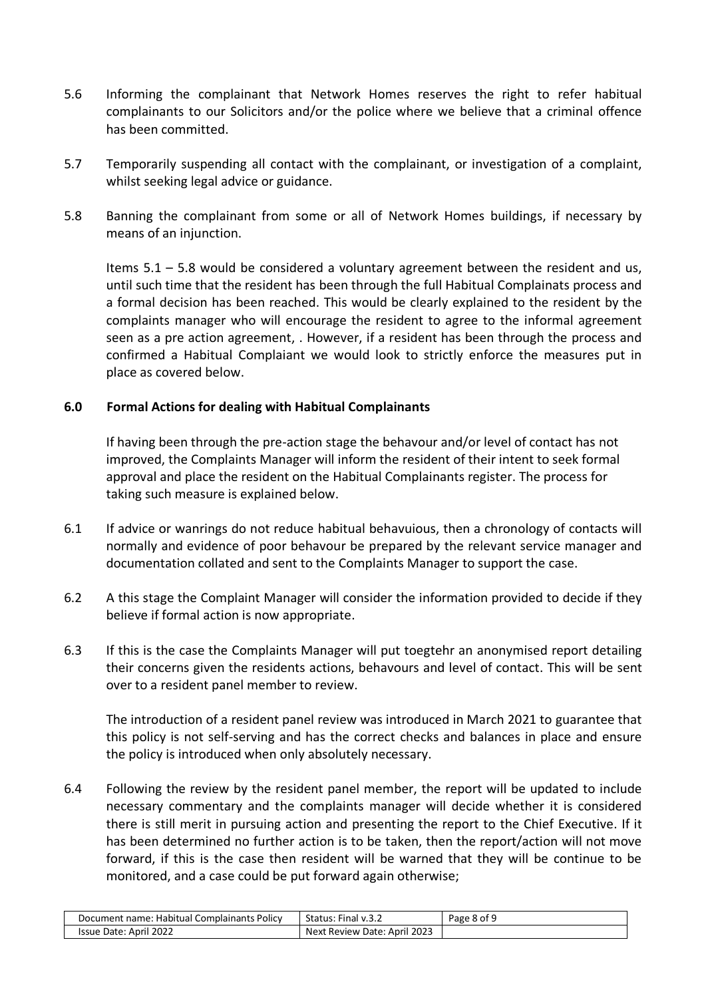- 5.6 Informing the complainant that Network Homes reserves the right to refer habitual complainants to our Solicitors and/or the police where we believe that a criminal offence has been committed.
- 5.7 Temporarily suspending all contact with the complainant, or investigation of a complaint, whilst seeking legal advice or guidance.
- 5.8 Banning the complainant from some or all of Network Homes buildings, if necessary by means of an injunction.

Items 5.1 – 5.8 would be considered a voluntary agreement between the resident and us, until such time that the resident has been through the full Habitual Complainats process and a formal decision has been reached. This would be clearly explained to the resident by the complaints manager who will encourage the resident to agree to the informal agreement seen as a pre action agreement, . However, if a resident has been through the process and confirmed a Habitual Complaiant we would look to strictly enforce the measures put in place as covered below.

### **6.0 Formal Actions for dealing with Habitual Complainants**

If having been through the pre-action stage the behavour and/or level of contact has not improved, the Complaints Manager will inform the resident of their intent to seek formal approval and place the resident on the Habitual Complainants register. The process for taking such measure is explained below.

- 6.1 If advice or wanrings do not reduce habitual behavuious, then a chronology of contacts will normally and evidence of poor behavour be prepared by the relevant service manager and documentation collated and sent to the Complaints Manager to support the case.
- 6.2 A this stage the Complaint Manager will consider the information provided to decide if they believe if formal action is now appropriate.
- 6.3 If this is the case the Complaints Manager will put toegtehr an anonymised report detailing their concerns given the residents actions, behavours and level of contact. This will be sent over to a resident panel member to review.

The introduction of a resident panel review was introduced in March 2021 to guarantee that this policy is not self-serving and has the correct checks and balances in place and ensure the policy is introduced when only absolutely necessary.

6.4 Following the review by the resident panel member, the report will be updated to include necessary commentary and the complaints manager will decide whether it is considered there is still merit in pursuing action and presenting the report to the Chief Executive. If it has been determined no further action is to be taken, then the report/action will not move forward, if this is the case then resident will be warned that they will be continue to be monitored, and a case could be put forward again otherwise;

| Document name: Habitual Complainants Policy | Status: Final v.3.2          | Page 8 of 9 |
|---------------------------------------------|------------------------------|-------------|
| Issue Date: April 2022                      | Next Review Date: April 2023 |             |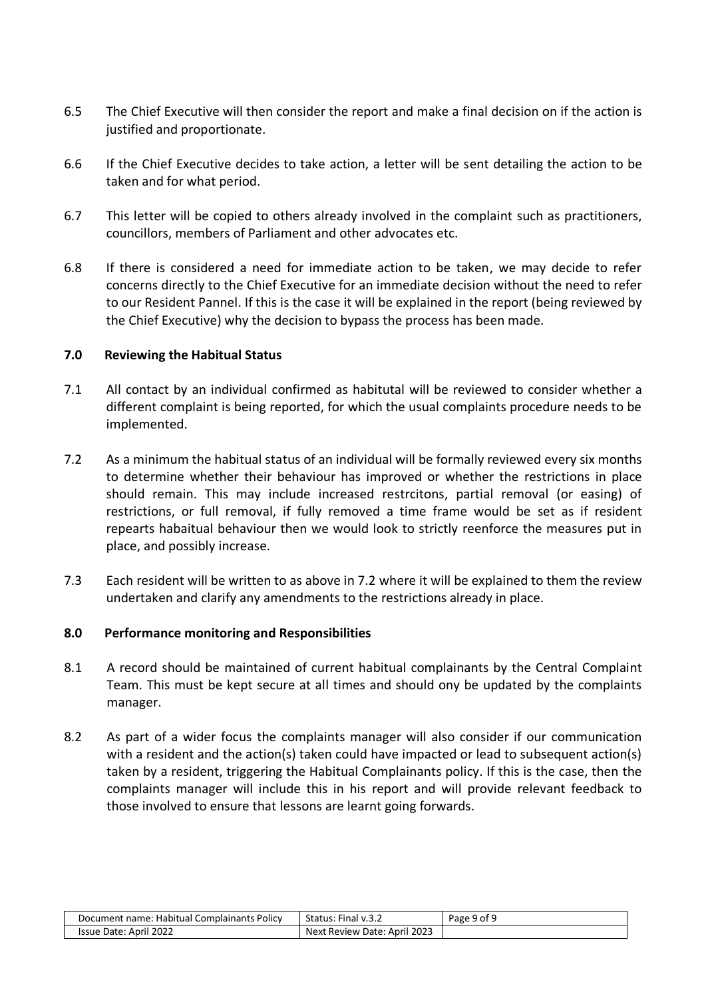- 6.5 The Chief Executive will then consider the report and make a final decision on if the action is justified and proportionate.
- 6.6 If the Chief Executive decides to take action, a letter will be sent detailing the action to be taken and for what period.
- 6.7 This letter will be copied to others already involved in the complaint such as practitioners, councillors, members of Parliament and other advocates etc.
- 6.8 If there is considered a need for immediate action to be taken, we may decide to refer concerns directly to the Chief Executive for an immediate decision without the need to refer to our Resident Pannel. If this is the case it will be explained in the report (being reviewed by the Chief Executive) why the decision to bypass the process has been made.

### **7.0 Reviewing the Habitual Status**

- 7.1 All contact by an individual confirmed as habitutal will be reviewed to consider whether a different complaint is being reported, for which the usual complaints procedure needs to be implemented.
- 7.2 As a minimum the habitual status of an individual will be formally reviewed every six months to determine whether their behaviour has improved or whether the restrictions in place should remain. This may include increased restrcitons, partial removal (or easing) of restrictions, or full removal, if fully removed a time frame would be set as if resident repearts habaitual behaviour then we would look to strictly reenforce the measures put in place, and possibly increase.
- 7.3 Each resident will be written to as above in 7.2 where it will be explained to them the review undertaken and clarify any amendments to the restrictions already in place.

# **8.0 Performance monitoring and Responsibilities**

- 8.1 A record should be maintained of current habitual complainants by the Central Complaint Team. This must be kept secure at all times and should ony be updated by the complaints manager.
- 8.2 As part of a wider focus the complaints manager will also consider if our communication with a resident and the action(s) taken could have impacted or lead to subsequent action(s) taken by a resident, triggering the Habitual Complainants policy. If this is the case, then the complaints manager will include this in his report and will provide relevant feedback to those involved to ensure that lessons are learnt going forwards.

| Document name: Habitual Complainants Policy | Status: Final v.3.2                      | Page 9 of 9 |
|---------------------------------------------|------------------------------------------|-------------|
| Issue Date: April 2022                      | 2023<br>c Review Date:<br>Next.<br>April |             |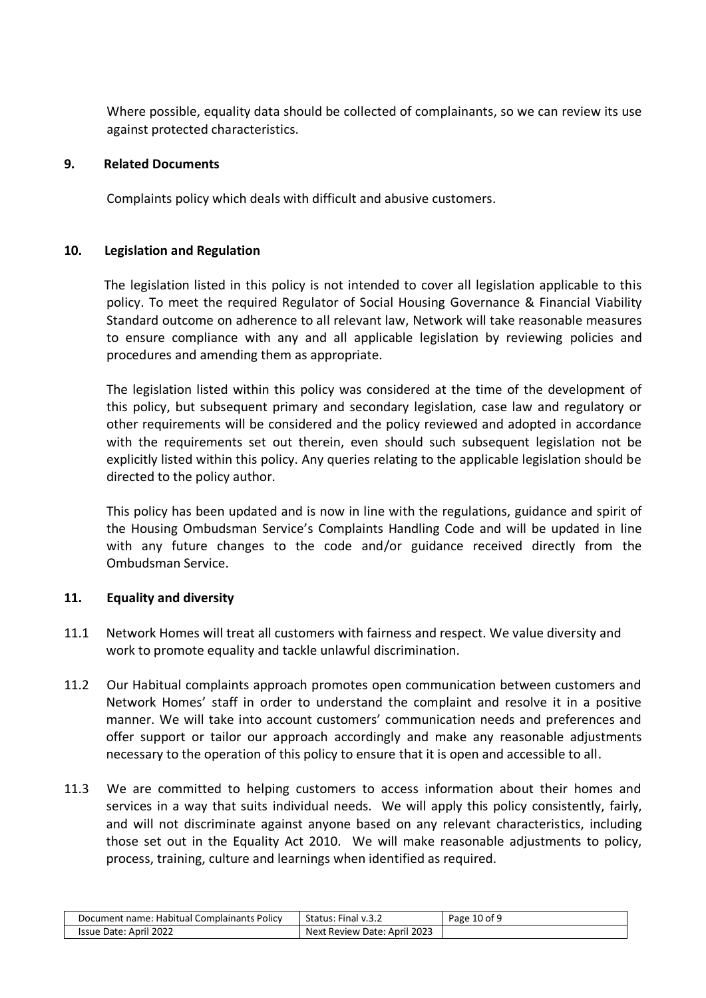Where possible, equality data should be collected of complainants, so we can review its use against protected characteristics.

#### **9. Related Documents**

Complaints policy which deals with difficult and abusive customers.

#### **10. Legislation and Regulation**

 The legislation listed in this policy is not intended to cover all legislation applicable to this policy. To meet the required Regulator of Social Housing Governance & Financial Viability Standard outcome on adherence to all relevant law, Network will take reasonable measures to ensure compliance with any and all applicable legislation by reviewing policies and procedures and amending them as appropriate.

The legislation listed within this policy was considered at the time of the development of this policy, but subsequent primary and secondary legislation, case law and regulatory or other requirements will be considered and the policy reviewed and adopted in accordance with the requirements set out therein, even should such subsequent legislation not be explicitly listed within this policy. Any queries relating to the applicable legislation should be directed to the policy author.

This policy has been updated and is now in line with the regulations, guidance and spirit of the Housing Ombudsman Service's Complaints Handling Code and will be updated in line with any future changes to the code and/or guidance received directly from the Ombudsman Service.

#### **11. Equality and diversity**

- 11.1 Network Homes will treat all customers with fairness and respect. We value diversity and work to promote equality and tackle unlawful discrimination.
- 11.2 Our Habitual complaints approach promotes open communication between customers and Network Homes' staff in order to understand the complaint and resolve it in a positive manner. We will take into account customers' communication needs and preferences and offer support or tailor our approach accordingly and make any reasonable adjustments necessary to the operation of this policy to ensure that it is open and accessible to all.
- 11.3 We are committed to helping customers to access information about their homes and services in a way that suits individual needs. We will apply this policy consistently, fairly, and will not discriminate against anyone based on any relevant characteristics, including those set out in the Equality Act 2010. We will make reasonable adjustments to policy, process, training, culture and learnings when identified as required.

| Document name: Habitual Complainants Policy | Status: Final v.3.2               | Page 10 of 9 |
|---------------------------------------------|-----------------------------------|--------------|
| Issue Date: April 2022                      | t Review Date: April 2023<br>Next |              |